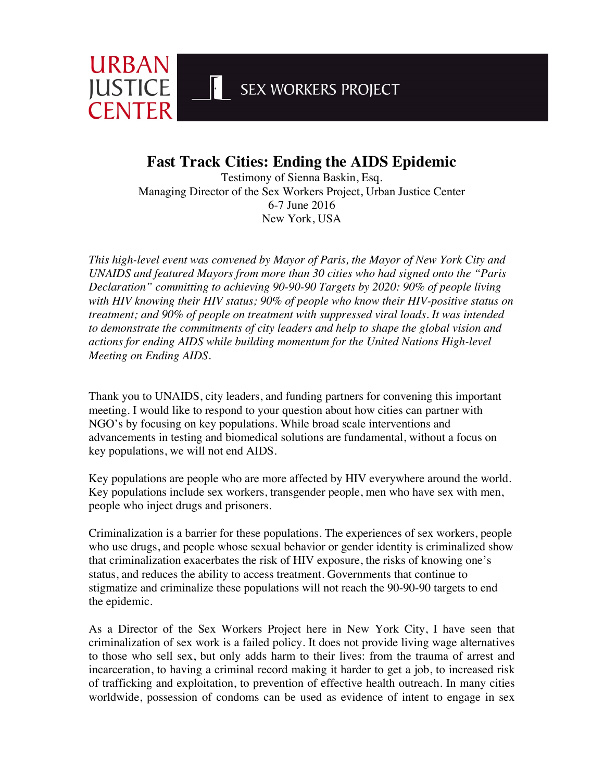SEX WORKERS PROJECT

**Fast Track Cities: Ending the AIDS Epidemic**

URBAN

**JUSTICE** 

**CENTER** 

Testimony of Sienna Baskin, Esq. Managing Director of the Sex Workers Project, Urban Justice Center 6-7 June 2016 New York, USA

*This high-level event was convened by Mayor of Paris, the Mayor of New York City and UNAIDS and featured Mayors from more than 30 cities who had signed onto the "Paris Declaration" committing to achieving 90-90-90 Targets by 2020: 90% of people living with HIV knowing their HIV status; 90% of people who know their HIV-positive status on treatment; and 90% of people on treatment with suppressed viral loads. It was intended to demonstrate the commitments of city leaders and help to shape the global vision and actions for ending AIDS while building momentum for the United Nations High-level Meeting on Ending AIDS.*

Thank you to UNAIDS, city leaders, and funding partners for convening this important meeting. I would like to respond to your question about how cities can partner with NGO's by focusing on key populations. While broad scale interventions and advancements in testing and biomedical solutions are fundamental, without a focus on key populations, we will not end AIDS.

Key populations are people who are more affected by HIV everywhere around the world. Key populations include sex workers, transgender people, men who have sex with men, people who inject drugs and prisoners.

Criminalization is a barrier for these populations. The experiences of sex workers, people who use drugs, and people whose sexual behavior or gender identity is criminalized show that criminalization exacerbates the risk of HIV exposure, the risks of knowing one's status, and reduces the ability to access treatment. Governments that continue to stigmatize and criminalize these populations will not reach the 90-90-90 targets to end the epidemic.

As a Director of the Sex Workers Project here in New York City, I have seen that criminalization of sex work is a failed policy. It does not provide living wage alternatives to those who sell sex, but only adds harm to their lives: from the trauma of arrest and incarceration, to having a criminal record making it harder to get a job, to increased risk of trafficking and exploitation, to prevention of effective health outreach. In many cities worldwide, possession of condoms can be used as evidence of intent to engage in sex